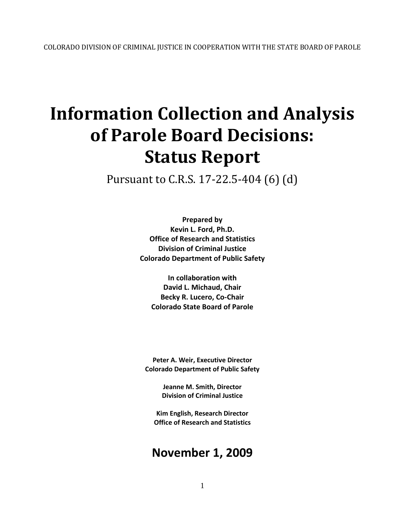# **Information Collection and Analysis of Parole Board Decisions: Status Report**

Pursuant to C.R.S. 17-22.5-404 (6) (d)

**Prepared by Kevin L. Ford, Ph.D. Office of Research and Statistics Division of Criminal Justice Colorado Department of Public Safety**

**In collaboration with David L. Michaud, Chair Becky R. Lucero, Co-Chair Colorado State Board of Parole**

**Peter A. Weir, Executive Director Colorado Department of Public Safety**

> **Jeanne M. Smith, Director Division of Criminal Justice**

**Kim English, Research Director Office of Research and Statistics**

# **November 1, 2009**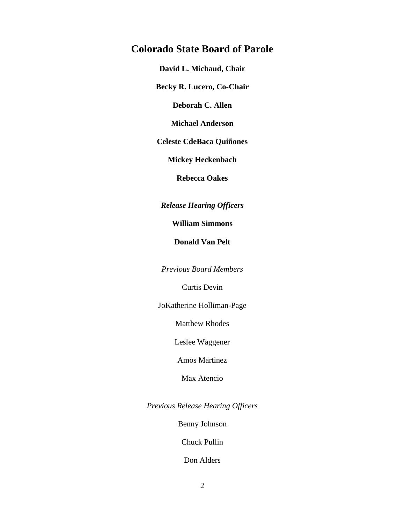# **Colorado State Board of Parole**

**David L. Michaud, Chair**

**Becky R. Lucero, Co-Chair**

**Deborah C. Allen**

**Michael Anderson**

**Celeste CdeBaca Quiñones**

**Mickey Heckenbach**

**Rebecca Oakes**

*Release Hearing Officers*

**William Simmons**

**Donald Van Pelt**

*Previous Board Members*

Curtis Devin

JoKatherine Holliman-Page

Matthew Rhodes

Leslee Waggener

Amos Martinez

Max Atencio

*Previous Release Hearing Officers*

Benny Johnson

Chuck Pullin

Don Alders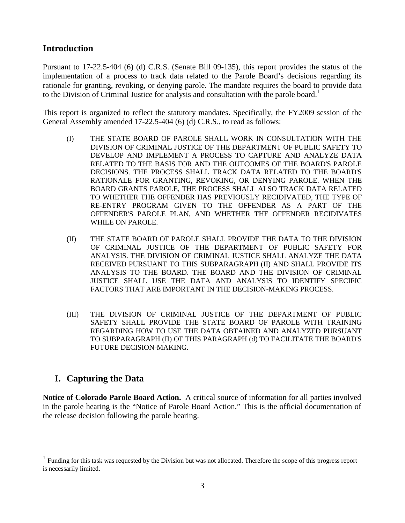# **Introduction**

Pursuant to 17-22.5-404 (6) (d) C.R.S. (Senate Bill 09-135), this report provides the status of the implementation of a process to track data related to the Parole Board's decisions regarding its rationale for granting, revoking, or denying parole. The mandate requires the board to provide data to the Division of Criminal Justice for analysis and consultation with the parole board.<sup>[1](#page-2-0)</sup>

This report is organized to reflect the statutory mandates. Specifically, the FY2009 session of the General Assembly amended 17-22.5-404 (6) (d) C.R.S., to read as follows:

- (I) THE STATE BOARD OF PAROLE SHALL WORK IN CONSULTATION WITH THE DIVISION OF CRIMINAL JUSTICE OF THE DEPARTMENT OF PUBLIC SAFETY TO DEVELOP AND IMPLEMENT A PROCESS TO CAPTURE AND ANALYZE DATA RELATED TO THE BASIS FOR AND THE OUTCOMES OF THE BOARD'S PAROLE DECISIONS. THE PROCESS SHALL TRACK DATA RELATED TO THE BOARD'S RATIONALE FOR GRANTING, REVOKING, OR DENYING PAROLE. WHEN THE BOARD GRANTS PAROLE, THE PROCESS SHALL ALSO TRACK DATA RELATED TO WHETHER THE OFFENDER HAS PREVIOUSLY RECIDIVATED, THE TYPE OF RE-ENTRY PROGRAM GIVEN TO THE OFFENDER AS A PART OF THE OFFENDER'S PAROLE PLAN, AND WHETHER THE OFFENDER RECIDIVATES WHILE ON PAROLE.
- (II) THE STATE BOARD OF PAROLE SHALL PROVIDE THE DATA TO THE DIVISION OF CRIMINAL JUSTICE OF THE DEPARTMENT OF PUBLIC SAFETY FOR ANALYSIS. THE DIVISION OF CRIMINAL JUSTICE SHALL ANALYZE THE DATA RECEIVED PURSUANT TO THIS SUBPARAGRAPH (II) AND SHALL PROVIDE ITS ANALYSIS TO THE BOARD. THE BOARD AND THE DIVISION OF CRIMINAL JUSTICE SHALL USE THE DATA AND ANALYSIS TO IDENTIFY SPECIFIC FACTORS THAT ARE IMPORTANT IN THE DECISION-MAKING PROCESS.
- (III) THE DIVISION OF CRIMINAL JUSTICE OF THE DEPARTMENT OF PUBLIC SAFETY SHALL PROVIDE THE STATE BOARD OF PAROLE WITH TRAINING REGARDING HOW TO USE THE DATA OBTAINED AND ANALYZED PURSUANT TO SUBPARAGRAPH (II) OF THIS PARAGRAPH (d) TO FACILITATE THE BOARD'S FUTURE DECISION-MAKING.

# **I. Capturing the Data**

**Notice of Colorado Parole Board Action.** A critical source of information for all parties involved in the parole hearing is the "Notice of Parole Board Action." This is the official documentation of the release decision following the parole hearing.

<span id="page-2-0"></span> <sup>1</sup> Funding for this task was requested by the Division but was not allocated. Therefore the scope of this progress report is necessarily limited.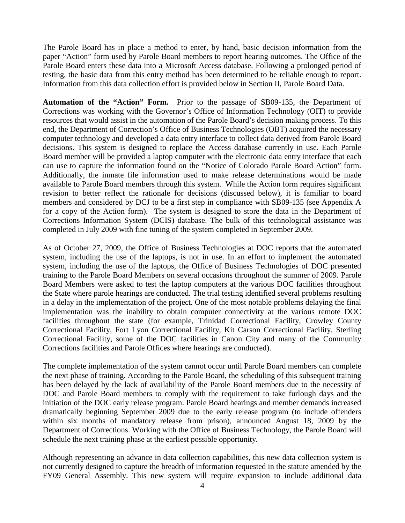The Parole Board has in place a method to enter, by hand, basic decision information from the paper "Action" form used by Parole Board members to report hearing outcomes. The Office of the Parole Board enters these data into a Microsoft Access database. Following a prolonged period of testing, the basic data from this entry method has been determined to be reliable enough to report. Information from this data collection effort is provided below in Section II, Parole Board Data.

**Automation of the "Action" Form.** Prior to the passage of SB09-135, the Department of Corrections was working with the Governor's Office of Information Technology (OIT) to provide resources that would assist in the automation of the Parole Board's decision making process. To this end, the Department of Correction's Office of Business Technologies (OBT) acquired the necessary computer technology and developed a data entry interface to collect data derived from Parole Board decisions. This system is designed to replace the Access database currently in use. Each Parole Board member will be provided a laptop computer with the electronic data entry interface that each can use to capture the information found on the "Notice of Colorado Parole Board Action" form. Additionally, the inmate file information used to make release determinations would be made available to Parole Board members through this system. While the Action form requires significant revision to better reflect the rationale for decisions (discussed below), it is familiar to board members and considered by DCJ to be a first step in compliance with SB09-135 (see Appendix A for a copy of the Action form). The system is designed to store the data in the Department of Corrections Information System (DCIS) database. The bulk of this technological assistance was completed in July 2009 with fine tuning of the system completed in September 2009.

As of October 27, 2009, the Office of Business Technologies at DOC reports that the automated system, including the use of the laptops, is not in use. In an effort to implement the automated system, including the use of the laptops, the Office of Business Technologies of DOC presented training to the Parole Board Members on several occasions throughout the summer of 2009. Parole Board Members were asked to test the laptop computers at the various DOC facilities throughout the State where parole hearings are conducted. The trial testing identified several problems resulting in a delay in the implementation of the project. One of the most notable problems delaying the final implementation was the inability to obtain computer connectivity at the various remote DOC facilities throughout the state (for example, Trinidad Correctional Facility, Crowley County Correctional Facility, Fort Lyon Correctional Facility, Kit Carson Correctional Facility, Sterling Correctional Facility, some of the DOC facilities in Canon City and many of the Community Corrections facilities and Parole Offices where hearings are conducted).

The complete implementation of the system cannot occur until Parole Board members can complete the next phase of training. According to the Parole Board, the scheduling of this subsequent training has been delayed by the lack of availability of the Parole Board members due to the necessity of DOC and Parole Board members to comply with the requirement to take furlough days and the initiation of the DOC early release program. Parole Board hearings and member demands increased dramatically beginning September 2009 due to the early release program (to include offenders within six months of mandatory release from prison), announced August 18, 2009 by the Department of Corrections. Working with the Office of Business Technology, the Parole Board will schedule the next training phase at the earliest possible opportunity.

Although representing an advance in data collection capabilities, this new data collection system is not currently designed to capture the breadth of information requested in the statute amended by the FY09 General Assembly. This new system will require expansion to include additional data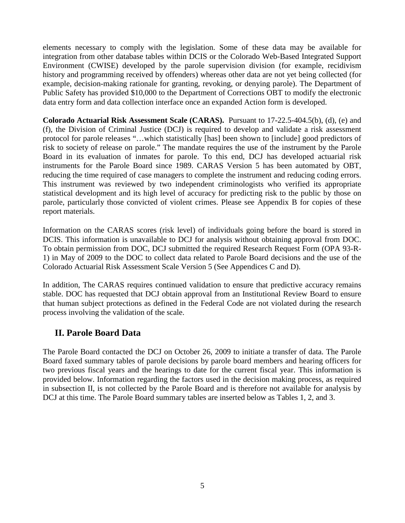elements necessary to comply with the legislation. Some of these data may be available for integration from other database tables within DCIS or the Colorado Web-Based Integrated Support Environment (CWISE) developed by the parole supervision division (for example, recidivism history and programming received by offenders) whereas other data are not yet being collected (for example, decision-making rationale for granting, revoking, or denying parole). The Department of Public Safety has provided \$10,000 to the Department of Corrections OBT to modify the electronic data entry form and data collection interface once an expanded Action form is developed.

**Colorado Actuarial Risk Assessment Scale (CARAS).** Pursuant to 17-22.5-404.5(b), (d), (e) and (f), the Division of Criminal Justice (DCJ) is required to develop and validate a risk assessment protocol for parole releases "…which statistically [has] been shown to [include] good predictors of risk to society of release on parole." The mandate requires the use of the instrument by the Parole Board in its evaluation of inmates for parole. To this end, DCJ has developed actuarial risk instruments for the Parole Board since 1989. CARAS Version 5 has been automated by OBT, reducing the time required of case managers to complete the instrument and reducing coding errors. This instrument was reviewed by two independent criminologists who verified its appropriate statistical development and its high level of accuracy for predicting risk to the public by those on parole, particularly those convicted of violent crimes. Please see Appendix B for copies of these report materials.

Information on the CARAS scores (risk level) of individuals going before the board is stored in DCIS. This information is unavailable to DCJ for analysis without obtaining approval from DOC. To obtain permission from DOC, DCJ submitted the required Research Request Form (OPA 93-R-1) in May of 2009 to the DOC to collect data related to Parole Board decisions and the use of the Colorado Actuarial Risk Assessment Scale Version 5 (See Appendices C and D).

In addition, The CARAS requires continued validation to ensure that predictive accuracy remains stable. DOC has requested that DCJ obtain approval from an Institutional Review Board to ensure that human subject protections as defined in the Federal Code are not violated during the research process involving the validation of the scale.

# **II. Parole Board Data**

The Parole Board contacted the DCJ on October 26, 2009 to initiate a transfer of data. The Parole Board faxed summary tables of parole decisions by parole board members and hearing officers for two previous fiscal years and the hearings to date for the current fiscal year. This information is provided below. Information regarding the factors used in the decision making process, as required in subsection II, is not collected by the Parole Board and is therefore not available for analysis by DCJ at this time. The Parole Board summary tables are inserted below as Tables 1, 2, and 3.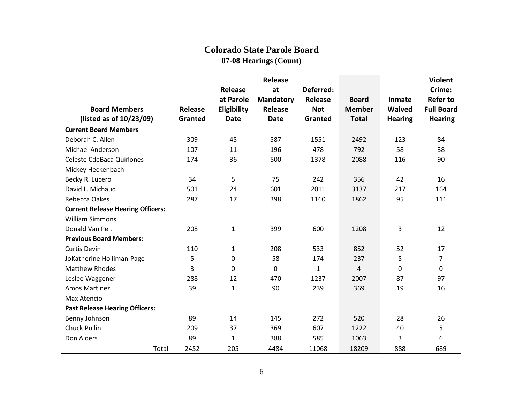# **Colorado State Parole Board**

**07-08 Hearings (Count)**

|                                          |         |                | Release          |                |                |                | <b>Violent</b>    |
|------------------------------------------|---------|----------------|------------------|----------------|----------------|----------------|-------------------|
|                                          |         | <b>Release</b> | at               | Deferred:      |                |                | Crime:            |
|                                          |         | at Parole      | <b>Mandatory</b> | <b>Release</b> | <b>Board</b>   | Inmate         | <b>Refer to</b>   |
| <b>Board Members</b>                     | Release | Eligibility    | Release          | <b>Not</b>     | <b>Member</b>  | Waived         | <b>Full Board</b> |
| (listed as of 10/23/09)                  | Granted | <b>Date</b>    | <b>Date</b>      | Granted        | <b>Total</b>   | <b>Hearing</b> | <b>Hearing</b>    |
| <b>Current Board Members</b>             |         |                |                  |                |                |                |                   |
| Deborah C. Allen                         | 309     | 45             | 587              | 1551           | 2492           | 123            | 84                |
| Michael Anderson                         | 107     | 11             | 196              | 478            | 792            | 58             | 38                |
| Celeste CdeBaca Quiñones                 | 174     | 36             | 500              | 1378           | 2088           | 116            | 90                |
| Mickey Heckenbach                        |         |                |                  |                |                |                |                   |
| Becky R. Lucero                          | 34      | 5              | 75               | 242            | 356            | 42             | 16                |
| David L. Michaud                         | 501     | 24             | 601              | 2011           | 3137           | 217            | 164               |
| Rebecca Oakes                            | 287     | 17             | 398              | 1160           | 1862           | 95             | 111               |
| <b>Current Release Hearing Officers:</b> |         |                |                  |                |                |                |                   |
| <b>William Simmons</b>                   |         |                |                  |                |                |                |                   |
| Donald Van Pelt                          | 208     | $\mathbf{1}$   | 399              | 600            | 1208           | 3              | 12                |
| <b>Previous Board Members:</b>           |         |                |                  |                |                |                |                   |
| <b>Curtis Devin</b>                      | 110     | $\mathbf{1}$   | 208              | 533            | 852            | 52             | 17                |
| JoKatherine Holliman-Page                | 5       | $\mathbf 0$    | 58               | 174            | 237            | 5              | 7                 |
| <b>Matthew Rhodes</b>                    | 3       | 0              | $\Omega$         | $\mathbf{1}$   | $\overline{4}$ | 0              | 0                 |
| Leslee Waggener                          | 288     | 12             | 470              | 1237           | 2007           | 87             | 97                |
| <b>Amos Martinez</b>                     | 39      | $\mathbf{1}$   | 90               | 239            | 369            | 19             | 16                |
| Max Atencio                              |         |                |                  |                |                |                |                   |
| <b>Past Release Hearing Officers:</b>    |         |                |                  |                |                |                |                   |
| Benny Johnson                            | 89      | 14             | 145              | 272            | 520            | 28             | 26                |
| <b>Chuck Pullin</b>                      | 209     | 37             | 369              | 607            | 1222           | 40             | 5                 |
| Don Alders                               | 89      | $\mathbf{1}$   | 388              | 585            | 1063           | 3              | 6                 |
| Total                                    | 2452    | 205            | 4484             | 11068          | 18209          | 888            | 689               |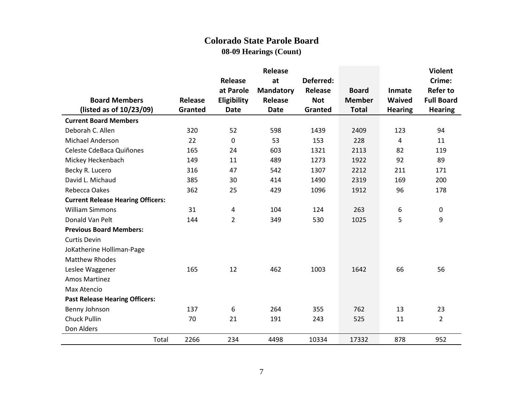# **Colorado State Parole Board 08-09 Hearings (Count)**

|                                          |         |                    | <b>Release</b>   |            |               |                | <b>Violent</b>    |
|------------------------------------------|---------|--------------------|------------------|------------|---------------|----------------|-------------------|
|                                          |         | Release            | at               | Deferred:  |               |                | Crime:            |
|                                          |         | at Parole          | <b>Mandatory</b> | Release    | <b>Board</b>  | <b>Inmate</b>  | <b>Refer to</b>   |
| <b>Board Members</b>                     | Release | <b>Eligibility</b> | Release          | <b>Not</b> | <b>Member</b> | Waived         | <b>Full Board</b> |
| (listed as of 10/23/09)                  | Granted | <b>Date</b>        | <b>Date</b>      | Granted    | <b>Total</b>  | <b>Hearing</b> | <b>Hearing</b>    |
| <b>Current Board Members</b>             |         |                    |                  |            |               |                |                   |
| Deborah C. Allen                         | 320     | 52                 | 598              | 1439       | 2409          | 123            | 94                |
| <b>Michael Anderson</b>                  | 22      | 0                  | 53               | 153        | 228           | 4              | 11                |
| Celeste CdeBaca Quiñones                 | 165     | 24                 | 603              | 1321       | 2113          | 82             | 119               |
| Mickey Heckenbach                        | 149     | 11                 | 489              | 1273       | 1922          | 92             | 89                |
| Becky R. Lucero                          | 316     | 47                 | 542              | 1307       | 2212          | 211            | 171               |
| David L. Michaud                         | 385     | 30                 | 414              | 1490       | 2319          | 169            | 200               |
| Rebecca Oakes                            | 362     | 25                 | 429              | 1096       | 1912          | 96             | 178               |
| <b>Current Release Hearing Officers:</b> |         |                    |                  |            |               |                |                   |
| <b>William Simmons</b>                   | 31      | 4                  | 104              | 124        | 263           | 6              | $\mathbf 0$       |
| Donald Van Pelt                          | 144     | $\overline{2}$     | 349              | 530        | 1025          | 5              | 9                 |
| <b>Previous Board Members:</b>           |         |                    |                  |            |               |                |                   |
| <b>Curtis Devin</b>                      |         |                    |                  |            |               |                |                   |
| JoKatherine Holliman-Page                |         |                    |                  |            |               |                |                   |
| <b>Matthew Rhodes</b>                    |         |                    |                  |            |               |                |                   |
| Leslee Waggener                          | 165     | 12                 | 462              | 1003       | 1642          | 66             | 56                |
| <b>Amos Martinez</b>                     |         |                    |                  |            |               |                |                   |
| Max Atencio                              |         |                    |                  |            |               |                |                   |
| <b>Past Release Hearing Officers:</b>    |         |                    |                  |            |               |                |                   |
| Benny Johnson                            | 137     | 6                  | 264              | 355        | 762           | 13             | 23                |
| <b>Chuck Pullin</b>                      | 70      | 21                 | 191              | 243        | 525           | 11             | $\overline{2}$    |
| Don Alders                               |         |                    |                  |            |               |                |                   |
| Total                                    | 2266    | 234                | 4498             | 10334      | 17332         | 878            | 952               |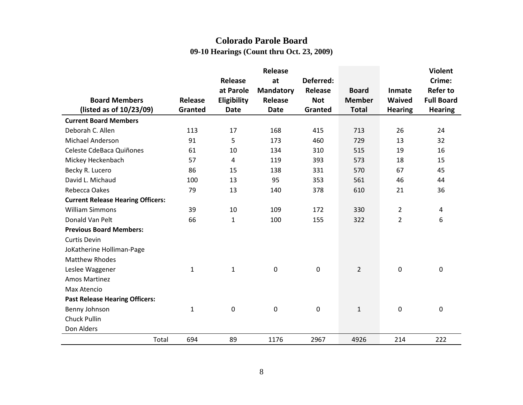# **Colorado Parole Board 09-10 Hearings (Count thru Oct. 23, 2009)**

|                                          |                |                    | <b>Release</b>   |                  |                |                | <b>Violent</b>    |
|------------------------------------------|----------------|--------------------|------------------|------------------|----------------|----------------|-------------------|
|                                          |                | Release            | at               | Deferred:        |                |                | Crime:            |
|                                          |                | at Parole          | <b>Mandatory</b> | Release          | <b>Board</b>   | Inmate         | <b>Refer to</b>   |
| <b>Board Members</b>                     | <b>Release</b> | <b>Eligibility</b> | Release          | <b>Not</b>       | <b>Member</b>  | Waived         | <b>Full Board</b> |
| (listed as of 10/23/09)                  | Granted        | <b>Date</b>        | <b>Date</b>      | Granted          | <b>Total</b>   | <b>Hearing</b> | <b>Hearing</b>    |
| <b>Current Board Members</b>             |                |                    |                  |                  |                |                |                   |
| Deborah C. Allen                         | 113            | 17                 | 168              | 415              | 713            | 26             | 24                |
| Michael Anderson                         | 91             | 5                  | 173              | 460              | 729            | 13             | 32                |
| Celeste CdeBaca Quiñones                 | 61             | 10                 | 134              | 310              | 515            | 19             | 16                |
| Mickey Heckenbach                        | 57             | 4                  | 119              | 393              | 573            | 18             | 15                |
| Becky R. Lucero                          | 86             | 15                 | 138              | 331              | 570            | 67             | 45                |
| David L. Michaud                         | 100            | 13                 | 95               | 353              | 561            | 46             | 44                |
| Rebecca Oakes                            | 79             | 13                 | 140              | 378              | 610            | 21             | 36                |
| <b>Current Release Hearing Officers:</b> |                |                    |                  |                  |                |                |                   |
| <b>William Simmons</b>                   | 39             | 10                 | 109              | 172              | 330            | $\overline{2}$ | 4                 |
| Donald Van Pelt                          | 66             | $\mathbf{1}$       | 100              | 155              | 322            | $\overline{2}$ | 6                 |
| <b>Previous Board Members:</b>           |                |                    |                  |                  |                |                |                   |
| <b>Curtis Devin</b>                      |                |                    |                  |                  |                |                |                   |
| JoKatherine Holliman-Page                |                |                    |                  |                  |                |                |                   |
| <b>Matthew Rhodes</b>                    |                |                    |                  |                  |                |                |                   |
| Leslee Waggener                          | $\mathbf{1}$   | $\mathbf{1}$       | $\pmb{0}$        | $\mathbf 0$      | $\overline{2}$ | $\mathbf 0$    | $\mathbf 0$       |
| <b>Amos Martinez</b>                     |                |                    |                  |                  |                |                |                   |
| Max Atencio                              |                |                    |                  |                  |                |                |                   |
| <b>Past Release Hearing Officers:</b>    |                |                    |                  |                  |                |                |                   |
| Benny Johnson                            | $\mathbf{1}$   | $\pmb{0}$          | $\boldsymbol{0}$ | $\boldsymbol{0}$ | $\mathbf{1}$   | $\mathbf 0$    | $\mathbf 0$       |
| <b>Chuck Pullin</b>                      |                |                    |                  |                  |                |                |                   |
| Don Alders                               |                |                    |                  |                  |                |                |                   |
| Total                                    | 694            | 89                 | 1176             | 2967             | 4926           | 214            | 222               |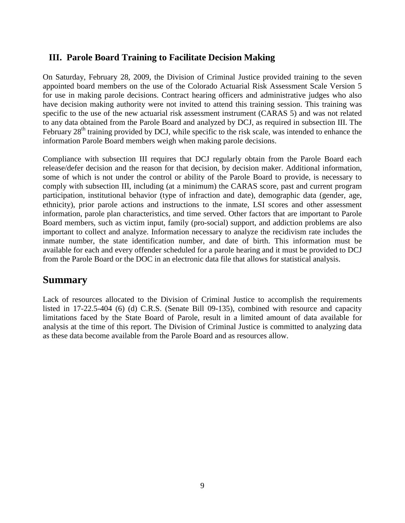# **III. Parole Board Training to Facilitate Decision Making**

On Saturday, February 28, 2009, the Division of Criminal Justice provided training to the seven appointed board members on the use of the Colorado Actuarial Risk Assessment Scale Version 5 for use in making parole decisions. Contract hearing officers and administrative judges who also have decision making authority were not invited to attend this training session. This training was specific to the use of the new actuarial risk assessment instrument (CARAS 5) and was not related to any data obtained from the Parole Board and analyzed by DCJ, as required in subsection III. The February  $28<sup>th</sup>$  training provided by DCJ, while specific to the risk scale, was intended to enhance the information Parole Board members weigh when making parole decisions.

Compliance with subsection III requires that DCJ regularly obtain from the Parole Board each release/defer decision and the reason for that decision, by decision maker. Additional information, some of which is not under the control or ability of the Parole Board to provide, is necessary to comply with subsection III, including (at a minimum) the CARAS score, past and current program participation, institutional behavior (type of infraction and date), demographic data (gender, age, ethnicity), prior parole actions and instructions to the inmate, LSI scores and other assessment information, parole plan characteristics, and time served. Other factors that are important to Parole Board members, such as victim input, family (pro-social) support, and addiction problems are also important to collect and analyze. Information necessary to analyze the recidivism rate includes the inmate number, the state identification number, and date of birth. This information must be available for each and every offender scheduled for a parole hearing and it must be provided to DCJ from the Parole Board or the DOC in an electronic data file that allows for statistical analysis.

# **Summary**

Lack of resources allocated to the Division of Criminal Justice to accomplish the requirements listed in 17-22.5-404 (6) (d) C.R.S. (Senate Bill 09-135), combined with resource and capacity limitations faced by the State Board of Parole, result in a limited amount of data available for analysis at the time of this report. The Division of Criminal Justice is committed to analyzing data as these data become available from the Parole Board and as resources allow.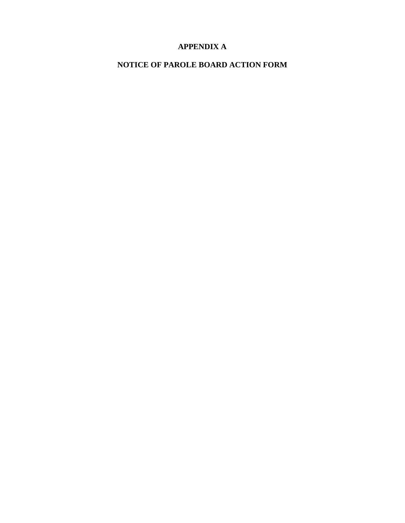# **APPENDIX A**

**NOTICE OF PAROLE BOARD ACTION FORM**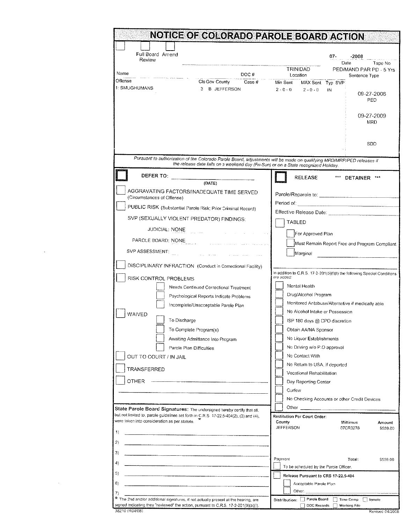|                                                                                                                                         | NOTICE OF COLORADO PAROLE BOARD ACTION                                                 |
|-----------------------------------------------------------------------------------------------------------------------------------------|----------------------------------------------------------------------------------------|
| Full Board Amend<br>Review                                                                                                              | $07 -$<br>$-2008$<br>Date<br>Tape No                                                   |
| Name<br>DOC#                                                                                                                            | TRINIDAD<br>PED/MAND PAR PD - 5 Yrs<br>Location<br>Sentence Type                       |
| Offense<br>Cls Gov County<br>Case #<br>1: SMUGHUMANS<br>3 B JEFFERSON                                                                   | Min Sent<br>MAX Sent Typ SVP<br>$2 - 0 - 0$<br>$2 - 0 - 0$<br>IN<br>09-27-2008<br>PED  |
|                                                                                                                                         | 09-27-2009<br>MRD<br>SDD                                                               |
| Pursuant to authorization of the Colorado Parole Board, adjustments will be made on qualifying MRD/MRP/PED releases if                  |                                                                                        |
| the release date falls on a weekend day (Fri-Sun) or on a State recognized Holiday.                                                     |                                                                                        |
| DEFER TO:<br>(DATE)                                                                                                                     | <b>RELEASE</b><br>*** DETAINER ***                                                     |
| AGGRAVATING FACTORS/INADEQUATE TIME SERVED<br>(Circumstances of Offense)                                                                |                                                                                        |
| PUBLIC RISK (Substantial Parole Risk; Prior Criminal Record)                                                                            |                                                                                        |
| SVP (SEXUALLY VIOLENT PREDATOR) FINDINGS:                                                                                               | <b>TABLED</b>                                                                          |
| JUDICIAL: NONE                                                                                                                          | For Approved Plan                                                                      |
| PAROLE BOARD: NONE                                                                                                                      | Must Remain Report Free and Program Compliant                                          |
| SVP ASSESSMENT:                                                                                                                         | Marginal                                                                               |
| DISCIPLINARY INFRACTION (Conduct in Correctional Facility)                                                                              |                                                                                        |
| RISK CONTROL PROBLEMS                                                                                                                   | In addition to C.R.S. 17-2-201(5)(f)(I) the following Special Conditions<br>are added: |
| Needs Continued Correctional Treatment                                                                                                  | Mental Health                                                                          |
| Psychological Reports Indicate Problems                                                                                                 | Drug/Alcohol Program                                                                   |
| Incomplete/Unacceptable Parole Plan                                                                                                     | Monitored Antabuse/Alternative if medically able                                       |
| WAIVED                                                                                                                                  | No Alcohol Intake or Possession                                                        |
| To Discharge                                                                                                                            | ISP 180 days @ CPO discretion                                                          |
| To Complete Program(s)                                                                                                                  | Obtain AA/NA Sponsor                                                                   |
| Awaiting Admittance Into Program                                                                                                        | No Liquor Establishments                                                               |
| Parole Plan Difficulties                                                                                                                | No Driving w/o P.O approval                                                            |
| OUT TO COURT / IN JAIL                                                                                                                  | No Contact With                                                                        |
| TRANSFERRED                                                                                                                             | No Return to USA, if deported<br>Vocational Rehabilitation                             |
| OTHER                                                                                                                                   | Day Reporting Center                                                                   |
|                                                                                                                                         | Curfew                                                                                 |
|                                                                                                                                         | No Checking Accounts or other Credit Devices                                           |
| State Parole Board Signatures: The undersigned hereby certify that all.                                                                 | Other $\frac{1}{2}$                                                                    |
| but not limited to, parole guidelines set forth in C.R.S. 17-22.5-404(2), (3) and (4),<br>were taken into consideration as per statute. | Restitution Per Court Order:                                                           |
|                                                                                                                                         | County<br>Mittimus<br>Amount<br><b>JEFFERSON</b><br>07CR3278<br>\$559.00               |
| 1)                                                                                                                                      |                                                                                        |
| 2)                                                                                                                                      |                                                                                        |
| 3)                                                                                                                                      |                                                                                        |
| 4)                                                                                                                                      | Payment<br>Total:<br>\$559.00                                                          |
| 5)                                                                                                                                      | To be scheduled by the Parole Officer.<br>Release Pursuant to CRS 17-22.5-404          |
| 6)                                                                                                                                      | Acceptable Parole Plan                                                                 |
| 7)                                                                                                                                      | Other:                                                                                 |
| * The 2nd and/or additional signatures, if not actually present at the hearing, are                                                     | Distribution: Parole Board Time Comp<br>  Inmate                                       |

 $\label{eq:2.1} \frac{1}{\sqrt{2}}\sum_{i=1}^n\frac{1}{\sqrt{2}}\sum_{i=1}^n\frac{1}{\sqrt{2}}\sum_{i=1}^n\frac{1}{\sqrt{2}}\sum_{i=1}^n\frac{1}{\sqrt{2}}\sum_{i=1}^n\frac{1}{\sqrt{2}}\sum_{i=1}^n\frac{1}{\sqrt{2}}\sum_{i=1}^n\frac{1}{\sqrt{2}}\sum_{i=1}^n\frac{1}{\sqrt{2}}\sum_{i=1}^n\frac{1}{\sqrt{2}}\sum_{i=1}^n\frac{1}{\sqrt{2}}\sum_{i=1}^n\frac$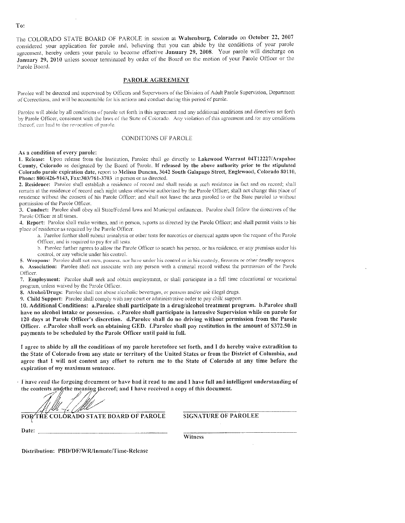The COLORADO STATE BOARD OF PAROLE in session at Walsenburg, Colorado on October 22, 2007 considered your application for parole and, believing that you can abide by the conditions of your parole agreement, hereby orders your parole to become effective January 29, 2008. Your parole will discharge on January 29, 2010 unless sooner terminated by order of the Board on the motion of your Parole Officer or the Parole Board.

#### PAROLE AGREEMENT

Parolee will be directed and supervised by Officers and Supervisors of the Division of Adult Parole Supervision, Department of Corrections, and will be accountable for his actions and conduct during this period of parole.

Parolee will abide by all conditions of parole set forth in this agreement and any additional conditions and directives set forth by Parole Officer, consistent with the laws of the State of Colorado. Any violation of this agreement and /or any conditions thereof, can lead to the revocation of parole.

#### **CONDITIONS OF PAROLE**

#### As a condition of every parole:

1. Release: Upon release from the Institution, Parolec shall go directly to Lakewood Warrant 04T12227/Arapahoe County, Colorado as designated by the Board of Parole. If released by the above authority prior to the stipulated Colorado parole expiration date, report to Melissa Duncan, 3642 South Galapago Street, Englewood, Colorado 80110, Phone: 800/426-9143, Fax:303/761-3703 in person or as directed.

2. Residence: Parolee shall establish a residence of record and shall reside at such residence in fact and on record; shall remain at the residence of record each night unless otherwise authorized by the Parole Officer; shall not change this place of residence without the consent of his Parole Officer; and shall not leave the area paroled to or the State paroled to without permission of the Parole Officer.

3. Conduct: Parolee shall obey all State/Federal laws and Municipal ordinances. Parolee shall follow the directives of the Parole Officer at all times.

4. Report: Parolee shall make written, and in person, reports as directed by the Parole Officer; and shall permit visits to his place of residence as required by the Parole Officer.

a. Parolee further shall submit urinalysis or other tests for narcotics or chemical agents upon the request of the Parole Officer, and is required to pay for all tests.

b. Parolee further agrees to allow the Parole Officer to search his person, or his residence, or any premises under his control, or any vehicle under his control.

5. Weapons: Parolee shall not own, possess, nor have under his control or in his custody, firearms or other deadly weapons. 6. Association: Parolee shall not associate with any person with a criminal record without the permission of the Parole Officer.

7. Employment: Parolee shall seek and obtain employment, or shall participate in a full time educational or vocational program, unless waived by the Parole Officer.

8. Alcohol/Drugs: Parolee shall not abuse alcoholic beverages, or possess and/or use illegal drugs.

9. Child Support: Parolec shall comply with any court or administrative order to pay child support.

10. Additional Conditions: a.Parolee shall participate in a drug/alcohol treatment program. b.Parolee shall have no alcohol intake or possession. c.Parolee shall participate in Intensive Supervision while on parole for 120 days at Parole Officer's discretion. d.Parolee shall do no driving without permission from the Parole Officer. e.Parolee shall work on obtaining GED. f.Parolee shall pay restitution in the amount of \$372.50 in payments to be scheduled by the Parole Officer until paid in full.

I agree to abide by all the conditions of my parole heretofore set forth, and I do hereby waive extradition to the State of Colorado from any state or territory of the United States or from the District of Columbia, and agree that I will not contest any effort to return me to the State of Colorado at any time before the expiration of my maximum sentence.

In ave read the forgoing document or have had it read to me and I have full and intelligent understanding of the contents and the meaning thereof; and I have received a copy of this document.

FOR THE COLORADO STATE BOARD OF PAROLE

**SIGNATURE OF PAROLEE** 

Date:

Witness

Distribution: PBD/DF/WR/Inmate/Time-Release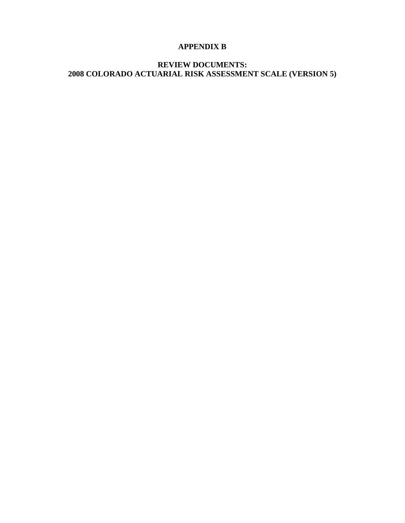# **APPENDIX B**

# **REVIEW DOCUMENTS: 2008 COLORADO ACTUARIAL RISK ASSESSMENT SCALE (VERSION 5)**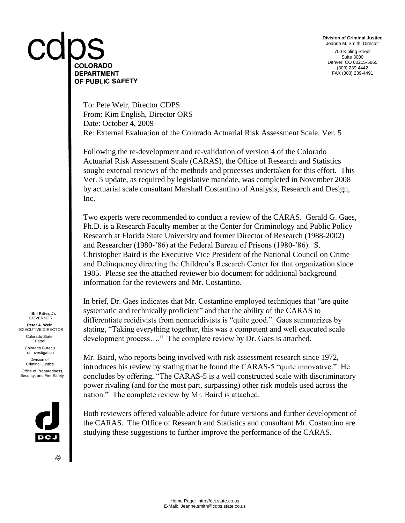**Division of Criminal Justice** Jeanne M. Smith, Director

700 Kipling Street Suite 3000 Denver, CO 80215-5865 (303) 239-4442 FAX (303) 239-4491

# **COLORADO DEPARTMENT** OF PUBLIC SAFETY

To: Pete Weir, Director CDPS From: Kim English, Director ORS Date: October 4, 2009 Re: External Evaluation of the Colorado Actuarial Risk Assessment Scale, Ver. 5

Following the re-development and re-validation of version 4 of the Colorado Actuarial Risk Assessment Scale (CARAS), the Office of Research and Statistics sought external reviews of the methods and processes undertaken for this effort. This Ver. 5 update, as required by legislative mandate, was completed in November 2008 by actuarial scale consultant Marshall Costantino of Analysis, Research and Design, Inc.

Two experts were recommended to conduct a review of the CARAS. Gerald G. Gaes, Ph.D. is a Research Faculty member at the Center for Criminology and Public Policy Research at Florida State University and former Director of Research (1988-2002) and Researcher (1980-'86) at the Federal Bureau of Prisons (1980-'86). S. Christopher Baird is the Executive Vice President of the National Council on Crime and Delinquency directing the Children's Research Center for that organization since 1985. Please see the attached reviewer bio document for additional background information for the reviewers and Mr. Costantino.

In brief, Dr. Gaes indicates that Mr. Costantino employed techniques that "are quite systematic and technically proficient" and that the ability of the CARAS to differentiate recidivists from nonrecidivists is "quite good." Gaes summarizes by stating, "Taking everything together, this was a competent and well executed scale development process…." The complete review by Dr. Gaes is attached.

Mr. Baird, who reports being involved with risk assessment research since 1972, introduces his review by stating that he found the CARAS-5 "quite innovative." He concludes by offering, "The CARAS-5 is a well constructed scale with discriminatory power rivaling (and for the most part, surpassing) other risk models used across the nation." The complete review by Mr. Baird is attached.

Both reviewers offered valuable advice for future versions and further development of the CARAS. The Office of Research and Statistics and consultant Mr. Costantino are studying these suggestions to further improve the performance of the CARAS.

 **Bill Ritter, Jr.** GOVERNOR  **Peter A. Weir** EXECUTIVE DIRECTOR Colorado State Patrol Colorado Bureau of Investigation Division of Criminal Justice Office of Preparedness, Security, and Fire Safety



⇎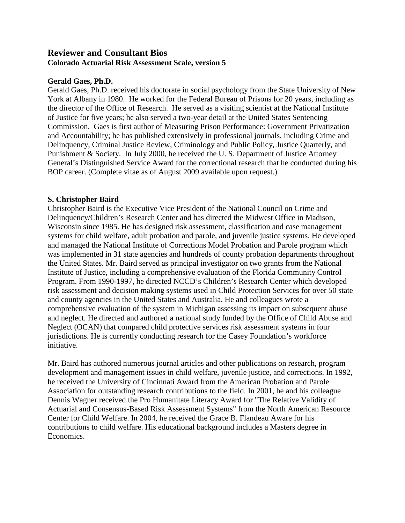# **Reviewer and Consultant Bios Colorado Actuarial Risk Assessment Scale, version 5**

## **Gerald Gaes, Ph.D.**

Gerald Gaes, Ph.D. received his doctorate in social psychology from the State University of New York at Albany in 1980. He worked for the Federal Bureau of Prisons for 20 years, including as the director of the Office of Research. He served as a visiting scientist at the National Institute of Justice for five years; he also served a two-year detail at the United States Sentencing Commission. Gaes is first author of Measuring Prison Performance: Government Privatization and Accountability; he has published extensively in professional journals, including Crime and Delinquency, Criminal Justice Review, Criminology and Public Policy, Justice Quarterly, and Punishment & Society. In July 2000, he received the U. S. Department of Justice Attorney General's Distinguished Service Award for the correctional research that he conducted during his BOP career. (Complete vitae as of August 2009 available upon request.)

## **S. Christopher Baird**

Christopher Baird is the Executive Vice President of the National Council on Crime and Delinquency/Children's Research Center and has directed the Midwest Office in Madison, Wisconsin since 1985. He has designed risk assessment, classification and case management systems for child welfare, adult probation and parole, and juvenile justice systems. He developed and managed the National Institute of Corrections Model Probation and Parole program which was implemented in 31 state agencies and hundreds of county probation departments throughout the United States. Mr. Baird served as principal investigator on two grants from the National Institute of Justice, including a comprehensive evaluation of the Florida Community Control Program. From 1990-1997, he directed NCCD's Children's Research Center which developed risk assessment and decision making systems used in Child Protection Services for over 50 state and county agencies in the United States and Australia. He and colleagues wrote a comprehensive evaluation of the system in Michigan assessing its impact on subsequent abuse and neglect. He directed and authored a national study funded by the Office of Child Abuse and Neglect (OCAN) that compared child protective services risk assessment systems in four jurisdictions. He is currently conducting research for the Casey Foundation's workforce initiative.

Mr. Baird has authored numerous journal articles and other publications on research, program development and management issues in child welfare, juvenile justice, and corrections. In 1992, he received the University of Cincinnati Award from the American Probation and Parole Association for outstanding research contributions to the field. In 2001, he and his colleague Dennis Wagner received the Pro Humanitate Literacy Award for "The Relative Validity of Actuarial and Consensus-Based Risk Assessment Systems" from the North American Resource Center for Child Welfare. In 2004, he received the Grace B. Flandeau Aware for his contributions to child welfare. His educational background includes a Masters degree in Economics.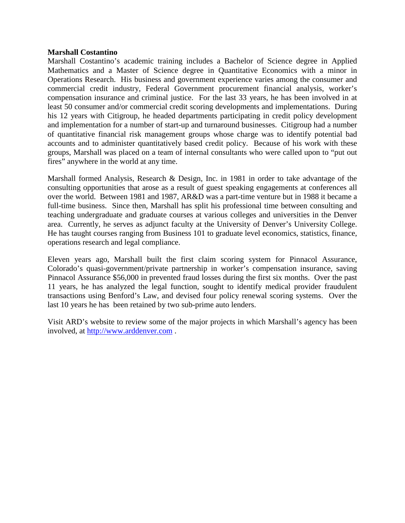## **Marshall Costantino**

Marshall Costantino's academic training includes a Bachelor of Science degree in Applied Mathematics and a Master of Science degree in Quantitative Economics with a minor in Operations Research. His business and government experience varies among the consumer and commercial credit industry, Federal Government procurement financial analysis, worker's compensation insurance and criminal justice. For the last 33 years, he has been involved in at least 50 consumer and/or commercial credit scoring developments and implementations. During his 12 years with Citigroup, he headed departments participating in credit policy development and implementation for a number of start-up and turnaround businesses. Citigroup had a number of quantitative financial risk management groups whose charge was to identify potential bad accounts and to administer quantitatively based credit policy. Because of his work with these groups, Marshall was placed on a team of internal consultants who were called upon to "put out fires" anywhere in the world at any time.

Marshall formed Analysis, Research & Design, Inc. in 1981 in order to take advantage of the consulting opportunities that arose as a result of guest speaking engagements at conferences all over the world. Between 1981 and 1987, AR&D was a part-time venture but in 1988 it became a full-time business. Since then, Marshall has split his professional time between consulting and teaching undergraduate and graduate courses at various colleges and universities in the Denver area. Currently, he serves as adjunct faculty at the University of Denver's University College. He has taught courses ranging from Business 101 to graduate level economics, statistics, finance, operations research and legal compliance.

Eleven years ago, Marshall built the first claim scoring system for Pinnacol Assurance, Colorado's quasi-government/private partnership in worker's compensation insurance, saving Pinnacol Assurance \$56,000 in prevented fraud losses during the first six months. Over the past 11 years, he has analyzed the legal function, sought to identify medical provider fraudulent transactions using Benford's Law, and devised four policy renewal scoring systems. Over the last 10 years he has been retained by two sub-prime auto lenders.

Visit ARD's website to review some of the major projects in which Marshall's agency has been involved, at http://www.arddenver.com .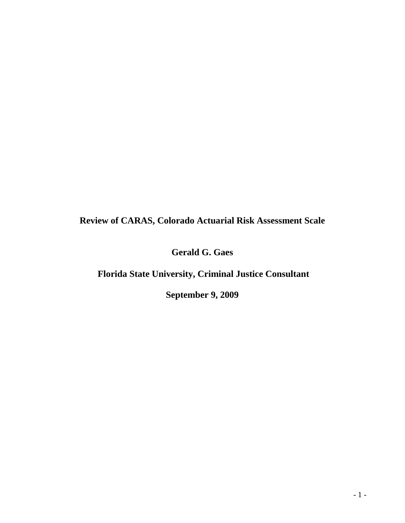# **Review of CARAS, Colorado Actuarial Risk Assessment Scale**

**Gerald G. Gaes**

**Florida State University, Criminal Justice Consultant**

**September 9, 2009**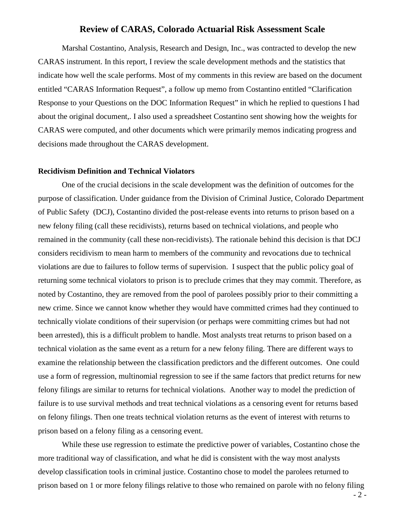## **Review of CARAS, Colorado Actuarial Risk Assessment Scale**

Marshal Costantino, Analysis, Research and Design, Inc., was contracted to develop the new CARAS instrument. In this report, I review the scale development methods and the statistics that indicate how well the scale performs. Most of my comments in this review are based on the document entitled "CARAS Information Request", a follow up memo from Costantino entitled "Clarification Response to your Questions on the DOC Information Request" in which he replied to questions I had about the original document,. I also used a spreadsheet Costantino sent showing how the weights for CARAS were computed, and other documents which were primarily memos indicating progress and decisions made throughout the CARAS development.

### **Recidivism Definition and Technical Violators**

One of the crucial decisions in the scale development was the definition of outcomes for the purpose of classification. Under guidance from the Division of Criminal Justice, Colorado Department of Public Safety (DCJ), Costantino divided the post-release events into returns to prison based on a new felony filing (call these recidivists), returns based on technical violations, and people who remained in the community (call these non-recidivists). The rationale behind this decision is that DCJ considers recidivism to mean harm to members of the community and revocations due to technical violations are due to failures to follow terms of supervision. I suspect that the public policy goal of returning some technical violators to prison is to preclude crimes that they may commit. Therefore, as noted by Costantino, they are removed from the pool of parolees possibly prior to their committing a new crime. Since we cannot know whether they would have committed crimes had they continued to technically violate conditions of their supervision (or perhaps were committing crimes but had not been arrested), this is a difficult problem to handle. Most analysts treat returns to prison based on a technical violation as the same event as a return for a new felony filing. There are different ways to examine the relationship between the classification predictors and the different outcomes. One could use a form of regression, multinomial regression to see if the same factors that predict returns for new felony filings are similar to returns for technical violations. Another way to model the prediction of failure is to use survival methods and treat technical violations as a censoring event for returns based on felony filings. Then one treats technical violation returns as the event of interest with returns to prison based on a felony filing as a censoring event.

While these use regression to estimate the predictive power of variables, Costantino chose the more traditional way of classification, and what he did is consistent with the way most analysts develop classification tools in criminal justice. Costantino chose to model the parolees returned to prison based on 1 or more felony filings relative to those who remained on parole with no felony filing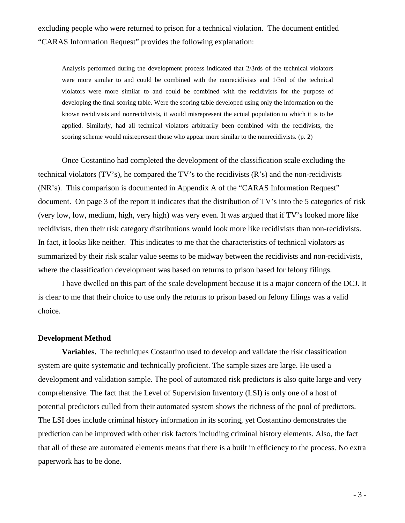excluding people who were returned to prison for a technical violation. The document entitled "CARAS Information Request" provides the following explanation:

Analysis performed during the development process indicated that 2/3rds of the technical violators were more similar to and could be combined with the nonrecidivists and 1/3rd of the technical violators were more similar to and could be combined with the recidivists for the purpose of developing the final scoring table. Were the scoring table developed using only the information on the known recidivists and nonrecidivists, it would misrepresent the actual population to which it is to be applied. Similarly, had all technical violators arbitrarily been combined with the recidivists, the scoring scheme would misrepresent those who appear more similar to the nonrecidivists. (p. 2)

Once Costantino had completed the development of the classification scale excluding the technical violators (TV's), he compared the TV's to the recidivists (R's) and the non-recidivists (NR's). This comparison is documented in Appendix A of the "CARAS Information Request" document. On page 3 of the report it indicates that the distribution of TV's into the 5 categories of risk (very low, low, medium, high, very high) was very even. It was argued that if TV's looked more like recidivists, then their risk category distributions would look more like recidivists than non-recidivists. In fact, it looks like neither. This indicates to me that the characteristics of technical violators as summarized by their risk scalar value seems to be midway between the recidivists and non-recidivists, where the classification development was based on returns to prison based for felony filings.

I have dwelled on this part of the scale development because it is a major concern of the DCJ. It is clear to me that their choice to use only the returns to prison based on felony filings was a valid choice.

#### **Development Method**

**Variables.** The techniques Costantino used to develop and validate the risk classification system are quite systematic and technically proficient. The sample sizes are large. He used a development and validation sample. The pool of automated risk predictors is also quite large and very comprehensive. The fact that the Level of Supervision Inventory (LSI) is only one of a host of potential predictors culled from their automated system shows the richness of the pool of predictors. The LSI does include criminal history information in its scoring, yet Costantino demonstrates the prediction can be improved with other risk factors including criminal history elements. Also, the fact that all of these are automated elements means that there is a built in efficiency to the process. No extra paperwork has to be done.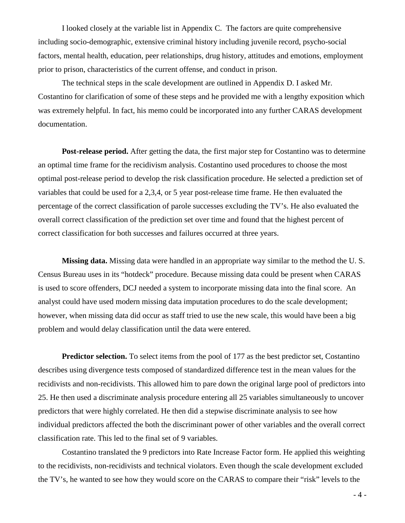I looked closely at the variable list in Appendix C. The factors are quite comprehensive including socio-demographic, extensive criminal history including juvenile record, psycho-social factors, mental health, education, peer relationships, drug history, attitudes and emotions, employment prior to prison, characteristics of the current offense, and conduct in prison.

The technical steps in the scale development are outlined in Appendix D. I asked Mr. Costantino for clarification of some of these steps and he provided me with a lengthy exposition which was extremely helpful. In fact, his memo could be incorporated into any further CARAS development documentation.

**Post-release period.** After getting the data, the first major step for Costantino was to determine an optimal time frame for the recidivism analysis. Costantino used procedures to choose the most optimal post-release period to develop the risk classification procedure. He selected a prediction set of variables that could be used for a 2,3,4, or 5 year post-release time frame. He then evaluated the percentage of the correct classification of parole successes excluding the TV's. He also evaluated the overall correct classification of the prediction set over time and found that the highest percent of correct classification for both successes and failures occurred at three years.

**Missing data.** Missing data were handled in an appropriate way similar to the method the U. S. Census Bureau uses in its "hotdeck" procedure. Because missing data could be present when CARAS is used to score offenders, DCJ needed a system to incorporate missing data into the final score. An analyst could have used modern missing data imputation procedures to do the scale development; however, when missing data did occur as staff tried to use the new scale, this would have been a big problem and would delay classification until the data were entered.

**Predictor selection.** To select items from the pool of 177 as the best predictor set, Costantino describes using divergence tests composed of standardized difference test in the mean values for the recidivists and non-recidivists. This allowed him to pare down the original large pool of predictors into 25. He then used a discriminate analysis procedure entering all 25 variables simultaneously to uncover predictors that were highly correlated. He then did a stepwise discriminate analysis to see how individual predictors affected the both the discriminant power of other variables and the overall correct classification rate. This led to the final set of 9 variables.

Costantino translated the 9 predictors into Rate Increase Factor form. He applied this weighting to the recidivists, non-recidivists and technical violators. Even though the scale development excluded the TV's, he wanted to see how they would score on the CARAS to compare their "risk" levels to the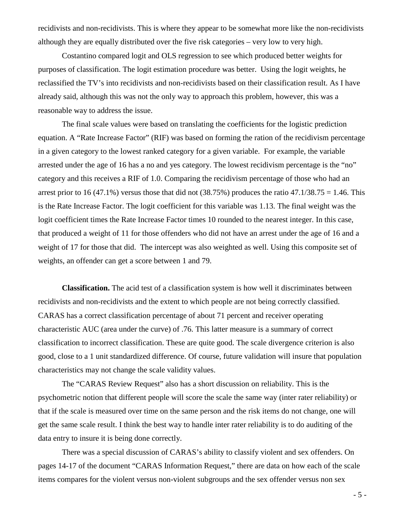recidivists and non-recidivists. This is where they appear to be somewhat more like the non-recidivists although they are equally distributed over the five risk categories – very low to very high.

Costantino compared logit and OLS regression to see which produced better weights for purposes of classification. The logit estimation procedure was better. Using the logit weights, he reclassified the TV's into recidivists and non-recidivists based on their classification result. As I have already said, although this was not the only way to approach this problem, however, this was a reasonable way to address the issue.

The final scale values were based on translating the coefficients for the logistic prediction equation. A "Rate Increase Factor" (RIF) was based on forming the ration of the recidivism percentage in a given category to the lowest ranked category for a given variable. For example, the variable arrested under the age of 16 has a no and yes category. The lowest recidivism percentage is the "no" category and this receives a RIF of 1.0. Comparing the recidivism percentage of those who had an arrest prior to 16 (47.1%) versus those that did not  $(38.75%)$  produces the ratio 47.1/38.75 = 1.46. This is the Rate Increase Factor. The logit coefficient for this variable was 1.13. The final weight was the logit coefficient times the Rate Increase Factor times 10 rounded to the nearest integer. In this case, that produced a weight of 11 for those offenders who did not have an arrest under the age of 16 and a weight of 17 for those that did. The intercept was also weighted as well. Using this composite set of weights, an offender can get a score between 1 and 79.

**Classification.** The acid test of a classification system is how well it discriminates between recidivists and non-recidivists and the extent to which people are not being correctly classified. CARAS has a correct classification percentage of about 71 percent and receiver operating characteristic AUC (area under the curve) of .76. This latter measure is a summary of correct classification to incorrect classification. These are quite good. The scale divergence criterion is also good, close to a 1 unit standardized difference. Of course, future validation will insure that population characteristics may not change the scale validity values.

The "CARAS Review Request" also has a short discussion on reliability. This is the psychometric notion that different people will score the scale the same way (inter rater reliability) or that if the scale is measured over time on the same person and the risk items do not change, one will get the same scale result. I think the best way to handle inter rater reliability is to do auditing of the data entry to insure it is being done correctly.

There was a special discussion of CARAS's ability to classify violent and sex offenders. On pages 14-17 of the document "CARAS Information Request," there are data on how each of the scale items compares for the violent versus non-violent subgroups and the sex offender versus non sex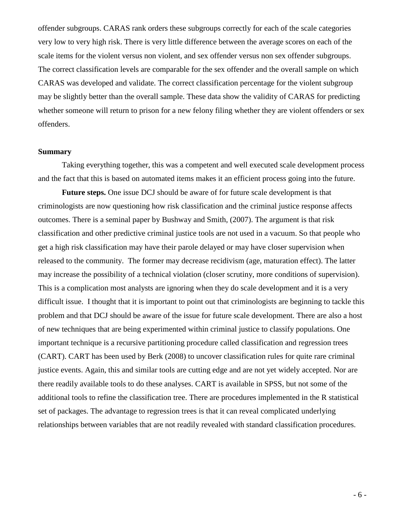offender subgroups. CARAS rank orders these subgroups correctly for each of the scale categories very low to very high risk. There is very little difference between the average scores on each of the scale items for the violent versus non violent, and sex offender versus non sex offender subgroups. The correct classification levels are comparable for the sex offender and the overall sample on which CARAS was developed and validate. The correct classification percentage for the violent subgroup may be slightly better than the overall sample. These data show the validity of CARAS for predicting whether someone will return to prison for a new felony filing whether they are violent offenders or sex offenders.

#### **Summary**

Taking everything together, this was a competent and well executed scale development process and the fact that this is based on automated items makes it an efficient process going into the future.

**Future steps.** One issue DCJ should be aware of for future scale development is that criminologists are now questioning how risk classification and the criminal justice response affects outcomes. There is a seminal paper by Bushway and Smith, (2007). The argument is that risk classification and other predictive criminal justice tools are not used in a vacuum. So that people who get a high risk classification may have their parole delayed or may have closer supervision when released to the community. The former may decrease recidivism (age, maturation effect). The latter may increase the possibility of a technical violation (closer scrutiny, more conditions of supervision). This is a complication most analysts are ignoring when they do scale development and it is a very difficult issue. I thought that it is important to point out that criminologists are beginning to tackle this problem and that DCJ should be aware of the issue for future scale development. There are also a host of new techniques that are being experimented within criminal justice to classify populations. One important technique is a recursive partitioning procedure called classification and regression trees (CART). CART has been used by Berk (2008) to uncover classification rules for quite rare criminal justice events. Again, this and similar tools are cutting edge and are not yet widely accepted. Nor are there readily available tools to do these analyses. CART is available in SPSS, but not some of the additional tools to refine the classification tree. There are procedures implemented in the R statistical set of packages. The advantage to regression trees is that it can reveal complicated underlying relationships between variables that are not readily revealed with standard classification procedures.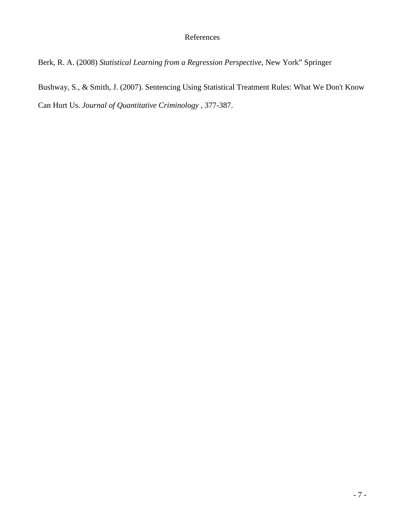# References

Berk, R. A. (2008) *Statistical Learning from a Regression Perspective*, New York" Springer

Bushway, S., & Smith, J. (2007). Sentencing Using Statistical Treatment Rules: What We Don't Know Can Hurt Us. *Journal of Quantitative Criminology* , 377-387.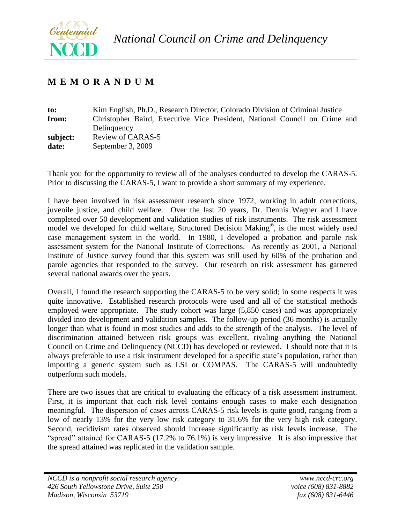

# **M E M O R A N D U M**

| to:      | Kim English, Ph.D., Research Director, Colorado Division of Criminal Justice |
|----------|------------------------------------------------------------------------------|
| from:    | Christopher Baird, Executive Vice President, National Council on Crime and   |
|          | Delinquency                                                                  |
| subject: | Review of CARAS-5                                                            |
| date:    | September 3, 2009                                                            |

Thank you for the opportunity to review all of the analyses conducted to develop the CARAS-5. Prior to discussing the CARAS-5, I want to provide a short summary of my experience.

I have been involved in risk assessment research since 1972, working in adult corrections, juvenile justice, and child welfare. Over the last 20 years, Dr. Dennis Wagner and I have completed over 50 development and validation studies of risk instruments. The risk assessment model we developed for child welfare, Structured Decision Making® , is the most widely used case management system in the world. In 1980, I developed a probation and parole risk assessment system for the National Institute of Corrections. As recently as 2001, a National Institute of Justice survey found that this system was still used by 60% of the probation and parole agencies that responded to the survey. Our research on risk assessment has garnered several national awards over the years.

Overall, I found the research supporting the CARAS-5 to be very solid; in some respects it was quite innovative. Established research protocols were used and all of the statistical methods employed were appropriate. The study cohort was large (5,850 cases) and was appropriately divided into development and validation samples. The follow-up period (36 months) is actually longer than what is found in most studies and adds to the strength of the analysis. The level of discrimination attained between risk groups was excellent, rivaling anything the National Council on Crime and Delinquency (NCCD) has developed or reviewed. I should note that it is always preferable to use a risk instrument developed for a specific state's population, rather than importing a generic system such as LSI or COMPAS. The CARAS-5 will undoubtedly outperform such models.

There are two issues that are critical to evaluating the efficacy of a risk assessment instrument. First, it is important that each risk level contains enough cases to make each designation meaningful. The dispersion of cases across CARAS-5 risk levels is quite good, ranging from a low of nearly 13% for the very low risk category to 31.6% for the very high risk category. Second, recidivism rates observed should increase significantly as risk levels increase. The "spread" attained for CARAS-5 (17.2% to 76.1%) is very impressive. It is also impressive that the spread attained was replicated in the validation sample.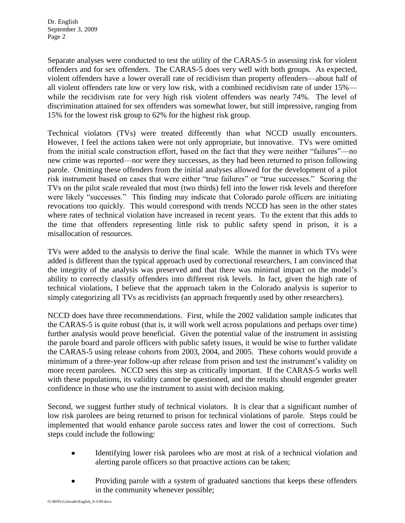Separate analyses were conducted to test the utility of the CARAS-5 in assessing risk for violent offenders and for sex offenders. The CARAS-5 does very well with both groups. As expected, violent offenders have a lower overall rate of recidivism than property offenders—about half of all violent offenders rate low or very low risk, with a combined recidivism rate of under 15% while the recidivism rate for very high risk violent offenders was nearly 74%. The level of discrimination attained for sex offenders was somewhat lower, but still impressive, ranging from 15% for the lowest risk group to 62% for the highest risk group.

Technical violators (TVs) were treated differently than what NCCD usually encounters. However, I feel the actions taken were not only appropriate, but innovative. TVs were omitted from the initial scale construction effort, based on the fact that they were neither "failures"—no new crime was reported—nor were they successes, as they had been returned to prison following parole. Omitting these offenders from the initial analyses allowed for the development of a pilot risk instrument based on cases that were either "true failures" or "true successes." Scoring the TVs on the pilot scale revealed that most (two thirds) fell into the lower risk levels and therefore were likely "successes." This finding may indicate that Colorado parole officers are initiating revocations too quickly. This would correspond with trends NCCD has seen in the other states where rates of technical violation have increased in recent years. To the extent that this adds to the time that offenders representing little risk to public safety spend in prison, it is a misallocation of resources.

TVs were added to the analysis to derive the final scale. While the manner in which TVs were added is different than the typical approach used by correctional researchers, I am convinced that the integrity of the analysis was preserved and that there was minimal impact on the model's ability to correctly classify offenders into different risk levels. In fact, given the high rate of technical violations, I believe that the approach taken in the Colorado analysis is superior to simply categorizing all TVs as recidivists (an approach frequently used by other researchers).

NCCD does have three recommendations. First, while the 2002 validation sample indicates that the CARAS-5 is quite robust (that is, it will work well across populations and perhaps over time) further analysis would prove beneficial. Given the potential value of the instrument in assisting the parole board and parole officers with public safety issues, it would be wise to further validate the CARAS-5 using release cohorts from 2003, 2004, and 2005. These cohorts would provide a minimum of a three-year follow-up after release from prison and test the instrument's validity on more recent parolees. NCCD sees this step as critically important. If the CARAS-5 works well with these populations, its validity cannot be questioned, and the results should engender greater confidence in those who use the instrument to assist with decision making.

Second, we suggest further study of technical violators. It is clear that a significant number of low risk parolees are being returned to prison for technical violations of parole. Steps could be implemented that would enhance parole success rates and lower the cost of corrections. Such steps could include the following:

- $\bullet$ Identifying lower risk parolees who are most at risk of a technical violation and alerting parole officers so that proactive actions can be taken;
- Providing parole with a system of graduated sanctions that keeps these offenders  $\bullet$ in the community whenever possible;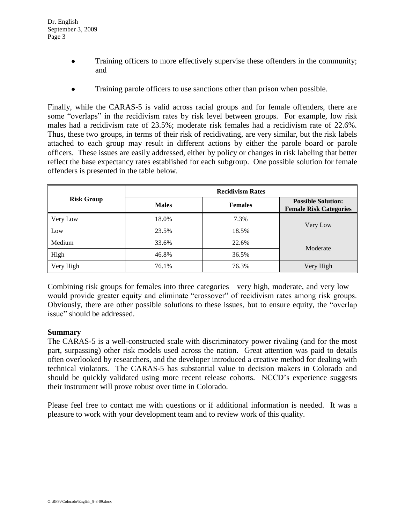- $\bullet$ Training officers to more effectively supervise these offenders in the community; and
- $\bullet$ Training parole officers to use sanctions other than prison when possible.

Finally, while the CARAS-5 is valid across racial groups and for female offenders, there are some "overlaps" in the recidivism rates by risk level between groups. For example, low risk males had a recidivism rate of 23.5%; moderate risk females had a recidivism rate of 22.6%. Thus, these two groups, in terms of their risk of recidivating, are very similar, but the risk labels attached to each group may result in different actions by either the parole board or parole officers. These issues are easily addressed, either by policy or changes in risk labeling that better reflect the base expectancy rates established for each subgroup. One possible solution for female offenders is presented in the table below.

|                   |              | <b>Recidivism Rates</b> |                                                            |  |  |
|-------------------|--------------|-------------------------|------------------------------------------------------------|--|--|
| <b>Risk Group</b> | <b>Males</b> | <b>Females</b>          | <b>Possible Solution:</b><br><b>Female Risk Categories</b> |  |  |
| Very Low          | 18.0%        | 7.3%                    | Very Low                                                   |  |  |
| Low               | 23.5%        | 18.5%                   |                                                            |  |  |
| Medium            | 33.6%        | 22.6%                   |                                                            |  |  |
| High              | 46.8%        | 36.5%                   | Moderate                                                   |  |  |
| Very High         | 76.1%        | 76.3%                   | Very High                                                  |  |  |

Combining risk groups for females into three categories—very high, moderate, and very low would provide greater equity and eliminate "crossover" of recidivism rates among risk groups. Obviously, there are other possible solutions to these issues, but to ensure equity, the "overlap issue" should be addressed.

## **Summary**

The CARAS-5 is a well-constructed scale with discriminatory power rivaling (and for the most part, surpassing) other risk models used across the nation. Great attention was paid to details often overlooked by researchers, and the developer introduced a creative method for dealing with technical violators. The CARAS-5 has substantial value to decision makers in Colorado and should be quickly validated using more recent release cohorts. NCCD's experience suggests their instrument will prove robust over time in Colorado.

Please feel free to contact me with questions or if additional information is needed. It was a pleasure to work with your development team and to review work of this quality.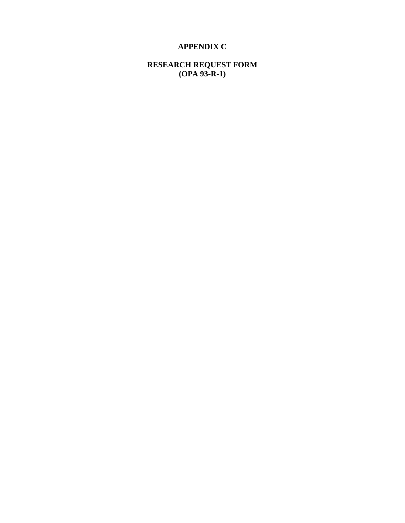# **APPENDIX C**

**RESEARCH REQUEST FORM (OPA 93-R-1)**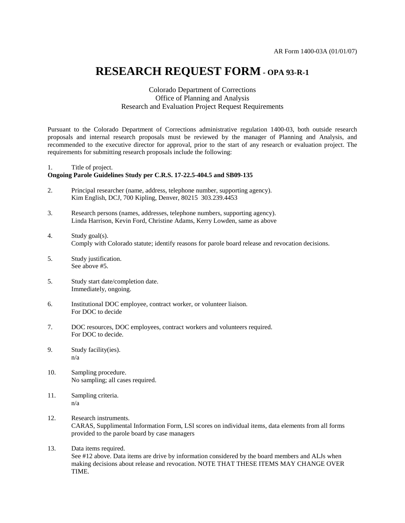# **RESEARCH REQUEST FORM - OPA 93-R-1**

#### Colorado Department of Corrections Office of Planning and Analysis Research and Evaluation Project Request Requirements

Pursuant to the Colorado Department of Corrections administrative regulation 1400-03, both outside research proposals and internal research proposals must be reviewed by the manager of Planning and Analysis, and recommended to the executive director for approval, prior to the start of any research or evaluation project. The requirements for submitting research proposals include the following:

#### 1. Title of project.

#### **Ongoing Parole Guidelines Study per C.R.S. 17-22.5-404.5 and SB09-135**

- 2. Principal researcher (name, address, telephone number, supporting agency). Kim English, DCJ, 700 Kipling, Denver, 80215 303.239.4453
- 3. Research persons (names, addresses, telephone numbers, supporting agency). Linda Harrison, Kevin Ford, Christine Adams, Kerry Lowden, same as above
- 4. Study goal(s). Comply with Colorado statute; identify reasons for parole board release and revocation decisions.
- 5. Study justification. See above #5.
- 5. Study start date/completion date. Immediately, ongoing.
- 6. Institutional DOC employee, contract worker, or volunteer liaison. For DOC to decide
- 7. DOC resources, DOC employees, contract workers and volunteers required. For DOC to decide.
- 9. Study facility(ies). n/a
- 10. Sampling procedure. No sampling; all cases required.
- 11. Sampling criteria. n/a
- 12. Research instruments. CARAS, Supplimental Information Form, LSI scores on individual items, data elements from all forms provided to the parole board by case managers
- 13. Data items required. See #12 above. Data items are drive by information considered by the board members and ALJs when making decisions about release and revocation. NOTE THAT THESE ITEMS MAY CHANGE OVER TIME.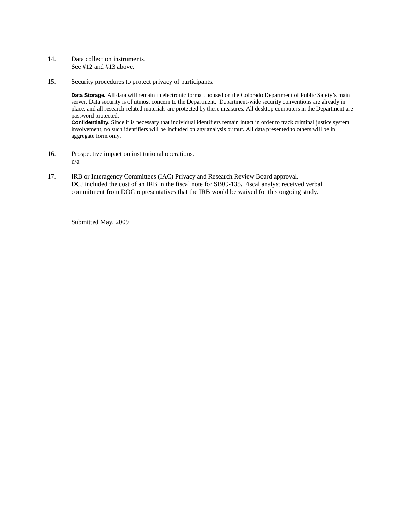- 14. Data collection instruments. See #12 and #13 above.
- 15. Security procedures to protect privacy of participants.

**Data Storage.** All data will remain in electronic format, housed on the Colorado Department of Public Safety's main server. Data security is of utmost concern to the Department. Department-wide security conventions are already in place, and all research-related materials are protected by these measures. All desktop computers in the Department are password protected.

**Confidentiality.** Since it is necessary that individual identifiers remain intact in order to track criminal justice system involvement, no such identifiers will be included on any analysis output. All data presented to others will be in aggregate form only.

- 16. Prospective impact on institutional operations. n/a
- 17. IRB or Interagency Committees (IAC) Privacy and Research Review Board approval. DCJ included the cost of an IRB in the fiscal note for SB09-135. Fiscal analyst received verbal commitment from DOC representatives that the IRB would be waived for this ongoing study.

Submitted May, 2009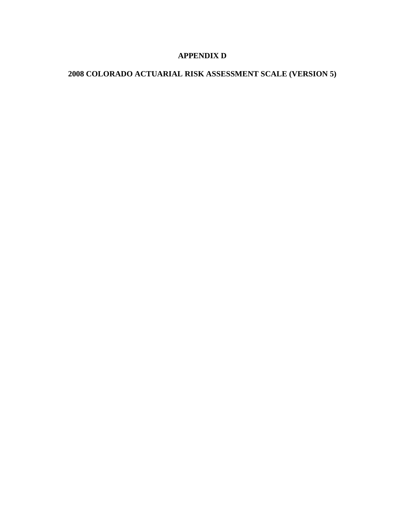# **APPENDIX D**

# **2008 COLORADO ACTUARIAL RISK ASSESSMENT SCALE (VERSION 5)**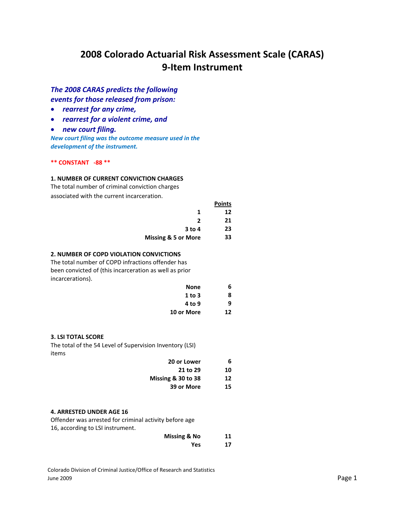# **2008 Colorado Actuarial Risk Assessment Scale (CARAS) 9-Item Instrument**

## *The 2008 CARAS predicts the following events for those released from prison:*

- *rearrest for any crime,*
- *rearrest for a violent crime, and*
- *new court filing.*

*New court filing was the outcome measure used in the development of the instrument.*

#### **\*\* CONSTANT -88 \*\***

#### **1. NUMBER OF CURRENT CONVICTION CHARGES**

The total number of criminal conviction charges associated with the current incarceration.

|                     | <b>Points</b> |
|---------------------|---------------|
| 1                   | 12            |
| 2                   | 21            |
| $3$ to 4            | 23            |
| Missing & 5 or More | 33            |

#### **2. NUMBER OF COPD VIOLATION CONVICTIONS**

The total number of COPD infractions offender has been convicted of (this incarceration as well as prior incarcerations).

| None       | 6  |
|------------|----|
| $1$ to $3$ | 8  |
| 4 to 9     | 9  |
| 10 or More | 17 |

#### **3. LSI TOTAL SCORE**

The total of the 54 Level of Supervision Inventory (LSI) items

| 20 or Lower        | 6  |
|--------------------|----|
| 21 to 29           | 10 |
| Missing & 30 to 38 | 12 |
| 39 or More         | 15 |

#### **4. ARRESTED UNDER AGE 16**

Offender was arrested for criminal activity before age 16, according to LSI instrument.

| <b>Missing &amp; No</b> | 11 |
|-------------------------|----|
| Yes                     | 17 |

Colorado Division of Criminal Justice/Office of Research and Statistics June 2009 Page 1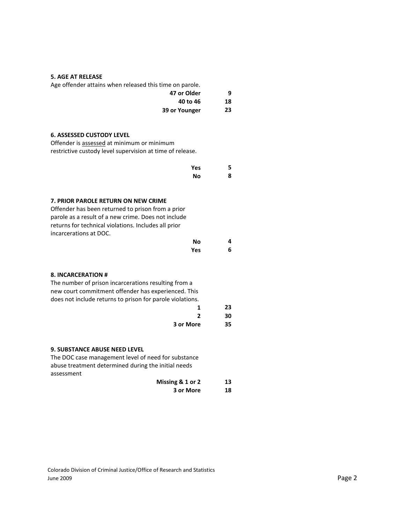#### **5. AGE AT RELEASE**

| Age offender attains when released this time on parole. |    |
|---------------------------------------------------------|----|
| 47 or Older                                             | 9  |
| 40 to 46                                                | 18 |
| 39 or Younger                                           | 23 |

## **6. ASSESSED CUSTODY LEVEL**

Offender is assessed at minimum or minimum restrictive custody level supervision at time of release.

| Yes | 5 |
|-----|---|
| No  | 8 |

#### **7. PRIOR PAROLE RETURN ON NEW CRIME**

Offender has been returned to prison from a prior parole as a result of a new crime. Does not include returns for technical violations. Includes all prior incarcerations at DOC.

| Νo  | 4 |
|-----|---|
| Yes | 6 |

#### **8. INCARCERATION #**

The number of prison incarcerations resulting from a new court commitment offender has experienced. This does not include returns to prison for parole violations.

| ٠         | 23 |
|-----------|----|
| - 1       | 30 |
| 3 or More | 35 |

#### **9. SUBSTANCE ABUSE NEED LEVEL**

The DOC case management level of need for substance abuse treatment determined during the initial needs assessment

| Missing & 1 or 2 | 13 |
|------------------|----|
| 3 or More        | 18 |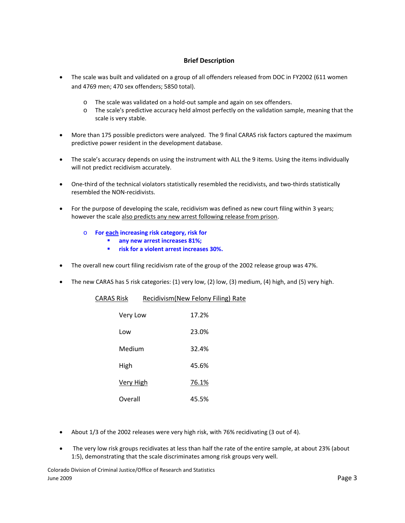## **Brief Description**

- The scale was built and validated on a group of all offenders released from DOC in FY2002 (611 women and 4769 men; 470 sex offenders; 5850 total).
	- o The scale was validated on a hold-out sample and again on sex offenders.
	- o The scale's predictive accuracy held almost perfectly on the validation sample, meaning that the scale is very stable.
- More than 175 possible predictors were analyzed. The 9 final CARAS risk factors captured the maximum predictive power resident in the development database.
- The scale's accuracy depends on using the instrument with ALL the 9 items. Using the items individually will not predict recidivism accurately.
- One-third of the technical violators statistically resembled the recidivists, and two-thirds statistically resembled the NON-recidivists.
- For the purpose of developing the scale, recidivism was defined as new court filing within 3 years; however the scale also predicts any new arrest following release from prison.
	- o **For each increasing risk category, risk for** 
		- **any new arrest increases 81%;**
		- **risk for a violent arrest increases 30%.**

CARAS Risk Recidivism(New Felony Filing) Rate

- The overall new court filing recidivism rate of the group of the 2002 release group was 47%.
- The new CARAS has 5 risk categories: (1) very low, (2) low, (3) medium, (4) high, and (5) very high.

| Very Low         | 17.2% |
|------------------|-------|
| Low              | 23.0% |
| Medium           | 32.4% |
| High             | 45.6% |
| <b>Very High</b> | 76.1% |
| Overall          | 45.5% |

- About 1/3 of the 2002 releases were very high risk, with 76% recidivating (3 out of 4).
- The very low risk groups recidivates at less than half the rate of the entire sample, at about 23% (about 1:5), demonstrating that the scale discriminates among risk groups very well.

Colorado Division of Criminal Justice/Office of Research and Statistics June 2009 Page 3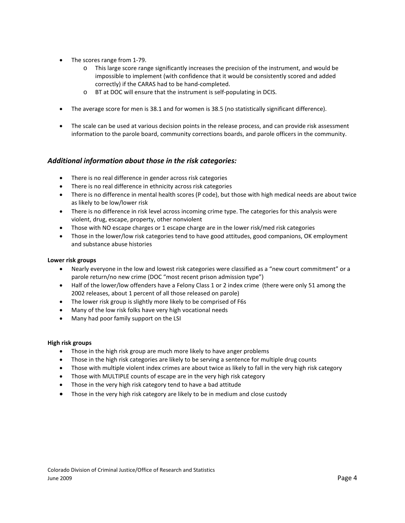- The scores range from 1-79.
	- o This large score range significantly increases the precision of the instrument, and would be impossible to implement (with confidence that it would be consistently scored and added correctly) if the CARAS had to be hand-completed.
	- o BT at DOC will ensure that the instrument is self-populating in DCIS.
- The average score for men is 38.1 and for women is 38.5 (no statistically significant difference).
- The scale can be used at various decision points in the release process, and can provide risk assessment information to the parole board, community corrections boards, and parole officers in the community.

### *Additional information about those in the risk categories:*

- There is no real difference in gender across risk categories
- There is no real difference in ethnicity across risk categories
- There is no difference in mental health scores (P code), but those with high medical needs are about twice as likely to be low/lower risk
- There is no difference in risk level across incoming crime type. The categories for this analysis were violent, drug, escape, property, other nonviolent
- Those with NO escape charges or 1 escape charge are in the lower risk/med risk categories
- Those in the lower/low risk categories tend to have good attitudes, good companions, OK employment and substance abuse histories

#### **Lower risk groups**

- Nearly everyone in the low and lowest risk categories were classified as a "new court commitment" or a parole return/no new crime (DOC "most recent prison admission type")
- Half of the lower/low offenders have a Felony Class 1 or 2 index crime (there were only 51 among the 2002 releases, about 1 percent of all those released on parole)
- The lower risk group is slightly more likely to be comprised of F6s
- Many of the low risk folks have very high vocational needs
- Many had poor family support on the LSI

#### **High risk groups**

- Those in the high risk group are much more likely to have anger problems
- Those in the high risk categories are likely to be serving a sentence for multiple drug counts
- Those with multiple violent index crimes are about twice as likely to fall in the very high risk category
- Those with MULTIPLE counts of escape are in the very high risk category
- Those in the very high risk category tend to have a bad attitude
- Those in the very high risk category are likely to be in medium and close custody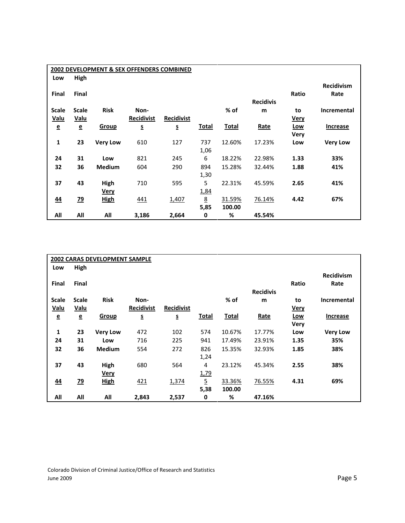|                          |                          |                 | 2002 DEVELOPMENT & SEX OFFENDERS COMBINED |                   |                 |              |                  |             |                   |
|--------------------------|--------------------------|-----------------|-------------------------------------------|-------------------|-----------------|--------------|------------------|-------------|-------------------|
| Low                      | High                     |                 |                                           |                   |                 |              |                  |             |                   |
|                          |                          |                 |                                           |                   |                 |              |                  |             | <b>Recidivism</b> |
| Final                    | Final                    |                 |                                           |                   |                 |              |                  | Ratio       | Rate              |
|                          |                          |                 |                                           |                   |                 |              | <b>Recidivis</b> |             |                   |
| <b>Scale</b>             | <b>Scale</b>             | <b>Risk</b>     | Non-                                      |                   |                 | $%$ of       | m                | to          | Incremental       |
| <b>Valu</b>              | <b>Valu</b>              |                 | <b>Recidivist</b>                         | <b>Recidivist</b> |                 |              |                  | <b>Very</b> |                   |
| $\underline{\mathbf{e}}$ | $\underline{\mathbf{e}}$ | <b>Group</b>    | <u>s</u>                                  | <u>s</u>          | <u>Total</u>    | <u>Total</u> | <b>Rate</b>      | <u>Low</u>  | <b>Increase</b>   |
|                          |                          |                 |                                           |                   |                 |              |                  | <b>Very</b> |                   |
| 1                        | 23                       | <b>Very Low</b> | 610                                       | 127               | 737             | 12.60%       | 17.23%           | Low         | <b>Very Low</b>   |
|                          |                          |                 |                                           |                   | 1,06            |              |                  |             |                   |
| 24                       | 31                       | Low             | 821                                       | 245               | 6               | 18.22%       | 22.98%           | 1.33        | 33%               |
| 32                       | 36                       | <b>Medium</b>   | 604                                       | 290               | 894             | 15.28%       | 32.44%           | 1.88        | 41%               |
|                          |                          |                 |                                           |                   | 1,30            |              |                  |             |                   |
| 37                       | 43                       | High            | 710                                       | 595               | 5               | 22.31%       | 45.59%           | 2.65        | 41%               |
|                          |                          | <u>Very</u>     |                                           |                   | 1,84            |              |                  |             |                   |
| 44                       | <u>79</u>                | <b>High</b>     | <u>441</u>                                | 1,407             | $\underline{8}$ | 31.59%       | 76.14%           | 4.42        | 67%               |
|                          |                          |                 |                                           |                   | 5,85            | 100.00       |                  |             |                   |
| All                      | All                      | All             | 3,186                                     | 2,664             | 0               | %            | 45.54%           |             |                   |

|                          |              | 2002 CARAS DEVELOPMENT SAMPLE |                   |                   |                |              |                  |             |                    |
|--------------------------|--------------|-------------------------------|-------------------|-------------------|----------------|--------------|------------------|-------------|--------------------|
| Low                      | High         |                               |                   |                   |                |              |                  |             |                    |
|                          |              |                               |                   |                   |                |              |                  |             | <b>Recidivism</b>  |
| <b>Final</b>             | <b>Final</b> |                               |                   |                   |                |              |                  | Ratio       | Rate               |
|                          |              |                               |                   |                   |                |              | <b>Recidivis</b> |             |                    |
| <b>Scale</b>             | <b>Scale</b> | <b>Risk</b>                   | Non-              |                   |                | $%$ of       | m                | to          | <b>Incremental</b> |
| Valu                     | <b>Valu</b>  |                               | <b>Recidivist</b> | <b>Recidivist</b> |                |              |                  | <u>Very</u> |                    |
| $\underline{\mathbf{e}}$ | e            | <b>Group</b>                  | <u>s</u>          | s                 | <b>Total</b>   | <b>Total</b> | <b>Rate</b>      | <b>Low</b>  | <b>Increase</b>    |
|                          |              |                               |                   |                   |                |              |                  | <b>Very</b> |                    |
| 1                        | 23           | <b>Very Low</b>               | 472               | 102               | 574            | 10.67%       | 17.77%           | Low         | <b>Very Low</b>    |
| 24                       | 31           | Low                           | 716               | 225               | 941            | 17.49%       | 23.91%           | 1.35        | 35%                |
| 32                       | 36           | <b>Medium</b>                 | 554               | 272               | 826            | 15.35%       | 32.93%           | 1.85        | 38%                |
|                          |              |                               |                   |                   | 1,24           |              |                  |             |                    |
| 37                       | 43           | High                          | 680               | 564               | 4              | 23.12%       | 45.34%           | 2.55        | 38%                |
|                          |              | <b>Very</b>                   |                   |                   | 1,79           |              |                  |             |                    |
| 44                       | <u>79</u>    | <b>High</b>                   | 421               | 1,374             | $\overline{5}$ | 33.36%       | 76.55%           | 4.31        | 69%                |
|                          |              |                               |                   |                   | 5,38           | 100.00       |                  |             |                    |
| All                      | All          | All                           | 2,843             | 2,537             | 0              | %            | 47.16%           |             |                    |